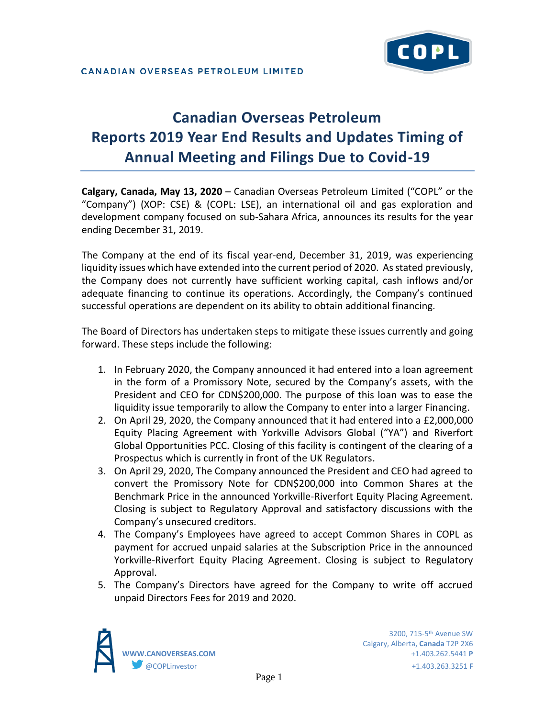

# **Canadian Overseas Petroleum Reports 2019 Year End Results and Updates Timing of Annual Meeting and Filings Due to Covid-19**

**Calgary, Canada, May 13, 2020** – Canadian Overseas Petroleum Limited ("COPL" or the "Company") (XOP: CSE) & (COPL: LSE), an international oil and gas exploration and development company focused on sub-Sahara Africa, announces its results for the year ending December 31, 2019.

The Company at the end of its fiscal year-end, December 31, 2019, was experiencing liquidity issues which have extended into the current period of 2020. As stated previously, the Company does not currently have sufficient working capital, cash inflows and/or adequate financing to continue its operations. Accordingly, the Company's continued successful operations are dependent on its ability to obtain additional financing.

The Board of Directors has undertaken steps to mitigate these issues currently and going forward. These steps include the following:

- 1. In February 2020, the Company announced it had entered into a loan agreement in the form of a Promissory Note, secured by the Company's assets, with the President and CEO for CDN\$200,000. The purpose of this loan was to ease the liquidity issue temporarily to allow the Company to enter into a larger Financing.
- 2. On April 29, 2020, the Company announced that it had entered into a £2,000,000 Equity Placing Agreement with Yorkville Advisors Global ("YA") and Riverfort Global Opportunities PCC. Closing of this facility is contingent of the clearing of a Prospectus which is currently in front of the UK Regulators.
- 3. On April 29, 2020, The Company announced the President and CEO had agreed to convert the Promissory Note for CDN\$200,000 into Common Shares at the Benchmark Price in the announced Yorkville-Riverfort Equity Placing Agreement. Closing is subject to Regulatory Approval and satisfactory discussions with the Company's unsecured creditors.
- 4. The Company's Employees have agreed to accept Common Shares in COPL as payment for accrued unpaid salaries at the Subscription Price in the announced Yorkville-Riverfort Equity Placing Agreement. Closing is subject to Regulatory Approval.
- 5. The Company's Directors have agreed for the Company to write off accrued unpaid Directors Fees for 2019 and 2020.

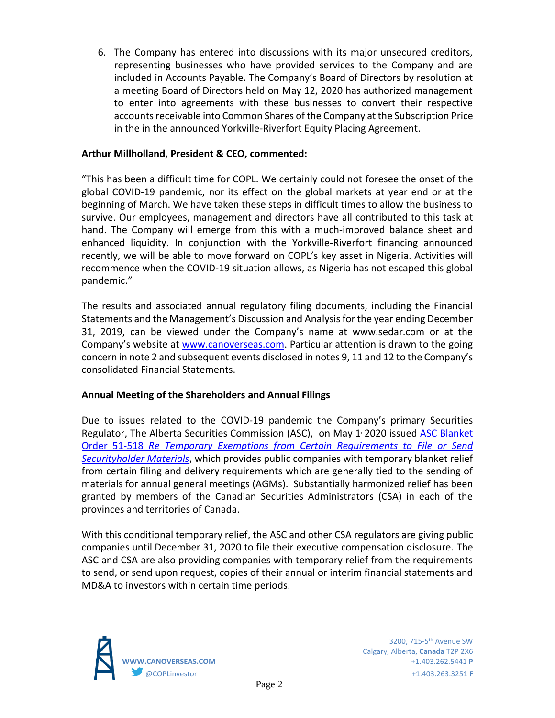6. The Company has entered into discussions with its major unsecured creditors, representing businesses who have provided services to the Company and are included in Accounts Payable. The Company's Board of Directors by resolution at a meeting Board of Directors held on May 12, 2020 has authorized management to enter into agreements with these businesses to convert their respective accounts receivable into Common Shares of the Company at the Subscription Price in the in the announced Yorkville-Riverfort Equity Placing Agreement.

## **Arthur Millholland, President & CEO, commented:**

"This has been a difficult time for COPL. We certainly could not foresee the onset of the global COVID-19 pandemic, nor its effect on the global markets at year end or at the beginning of March. We have taken these steps in difficult times to allow the business to survive. Our employees, management and directors have all contributed to this task at hand. The Company will emerge from this with a much-improved balance sheet and enhanced liquidity. In conjunction with the Yorkville-Riverfort financing announced recently, we will be able to move forward on COPL's key asset in Nigeria. Activities will recommence when the COVID-19 situation allows, as Nigeria has not escaped this global pandemic."

The results and associated annual regulatory filing documents, including the Financial Statements and the Management's Discussion and Analysis for the year ending December 31, 2019, can be viewed under the Company's name at www.sedar.com or at the Company's website at [www.canoverseas.com.](http://www.canoverseas.com/) Particular attention is drawn to the going concern in note 2 and subsequent events disclosed in notes 9, 11 and 12 to the Company's consolidated Financial Statements.

## **Annual Meeting of the Shareholders and Annual Filings**

Due to issues related to the COVID-19 pandemic the Company's primary Securities Regulator, The Alberta Securities Commission (ASC), on May 1<sup>,</sup> 2020 issued ASC Blanket Order 51-518 *[Re Temporary Exemptions from Certain Requirements to File or Send](https://www.albertasecurities.com/securities-law-and-policy/regulatory-instruments/51-518)  [Securityholder Materials](https://www.albertasecurities.com/securities-law-and-policy/regulatory-instruments/51-518)*, which provides public companies with temporary blanket relief from certain filing and delivery requirements which are generally tied to the sending of materials for annual general meetings (AGMs). Substantially harmonized relief has been granted by members of the Canadian Securities Administrators (CSA) in each of the provinces and territories of Canada.

With this conditional temporary relief, the ASC and other CSA regulators are giving public companies until December 31, 2020 to file their executive compensation disclosure. The ASC and CSA are also providing companies with temporary relief from the requirements to send, or send upon request, copies of their annual or interim financial statements and MD&A to investors within certain time periods.

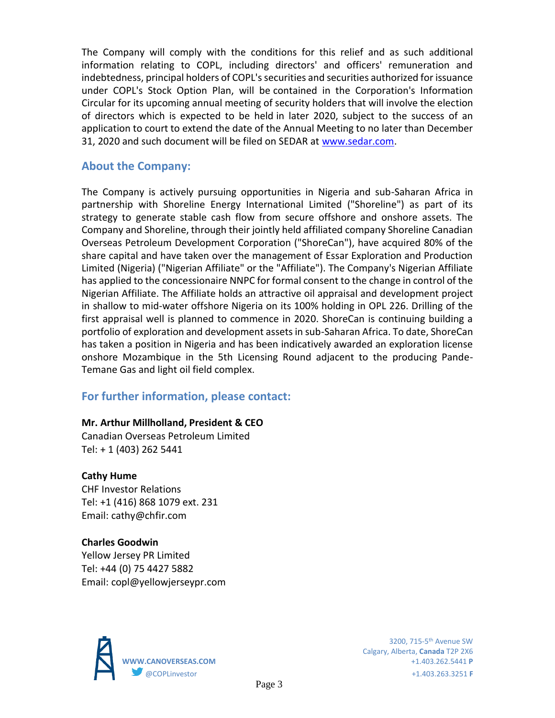The Company will comply with the conditions for this relief and as such additional information relating to COPL, including directors' and officers' remuneration and indebtedness, principal holders of COPL's securities and securities authorized for issuance under COPL's Stock Option Plan, will be contained in the Corporation's Information Circular for its upcoming annual meeting of security holders that will involve the election of directors which is expected to be held in later 2020, subject to the success of an application to court to extend the date of the Annual Meeting to no later than December 31, 2020 and such document will be filed on SEDAR at [www.sedar.com.](http://www.sedar.com/)

# **About the Company:**

The Company is actively pursuing opportunities in Nigeria and sub-Saharan Africa in partnership with Shoreline Energy International Limited ("Shoreline") as part of its strategy to generate stable cash flow from secure offshore and onshore assets. The Company and Shoreline, through their jointly held affiliated company Shoreline Canadian Overseas Petroleum Development Corporation ("ShoreCan"), have acquired 80% of the share capital and have taken over the management of Essar Exploration and Production Limited (Nigeria) ("Nigerian Affiliate" or the "Affiliate"). The Company's Nigerian Affiliate has applied to the concessionaire NNPC for formal consent to the change in control of the Nigerian Affiliate. The Affiliate holds an attractive oil appraisal and development project in shallow to mid-water offshore Nigeria on its 100% holding in OPL 226. Drilling of the first appraisal well is planned to commence in 2020. ShoreCan is continuing building a portfolio of exploration and development assets in sub-Saharan Africa. To date, ShoreCan has taken a position in Nigeria and has been indicatively awarded an exploration license onshore Mozambique in the 5th Licensing Round adjacent to the producing Pande-Temane Gas and light oil field complex.

# **For further information, please contact:**

#### **Mr. Arthur Millholland, President & CEO**

Canadian Overseas Petroleum Limited Tel: + 1 (403) 262 5441

## **Cathy Hume**

CHF Investor Relations Tel: +1 (416) 868 1079 ext. 231 Email: cathy@chfir.com

**Charles Goodwin** Yellow Jersey PR Limited Tel: +44 (0) 75 4427 5882 Email: copl@yellowjerseypr.com



Calgary, Alberta, **Canada** T2P 2X6 **WWW.CANOVERSEAS.COM** +1.403.262.5441 **P** @COPLinvestor +1.403.263.3251 **F**